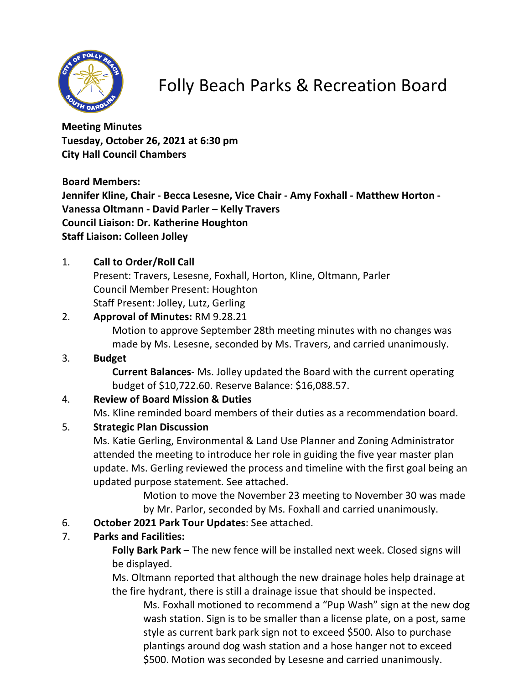

### Folly Beach Parks & Recreation Board

**Meeting Minutes Tuesday, October 26, 2021 at 6:30 pm City Hall Council Chambers**

**Board Members:**

**Jennifer Kline, Chair - Becca Lesesne, Vice Chair - Amy Foxhall - Matthew Horton - Vanessa Oltmann - David Parler – Kelly Travers Council Liaison: Dr. Katherine Houghton Staff Liaison: Colleen Jolley**

### 1. **Call to Order/Roll Call**

Present: Travers, Lesesne, Foxhall, Horton, Kline, Oltmann, Parler Council Member Present: Houghton Staff Present: Jolley, Lutz, Gerling

### 2. **Approval of Minutes:** RM 9.28.21

Motion to approve September 28th meeting minutes with no changes was made by Ms. Lesesne, seconded by Ms. Travers, and carried unanimously.

### 3. **Budget**

**Current Balances**- Ms. Jolley updated the Board with the current operating budget of \$10,722.60. Reserve Balance: \$16,088.57.

### 4. **Review of Board Mission & Duties**

Ms. Kline reminded board members of their duties as a recommendation board.

### 5. **Strategic Plan Discussion**

Ms. Katie Gerling, Environmental & Land Use Planner and Zoning Administrator attended the meeting to introduce her role in guiding the five year master plan update. Ms. Gerling reviewed the process and timeline with the first goal being an updated purpose statement. See attached.

> Motion to move the November 23 meeting to November 30 was made by Mr. Parlor, seconded by Ms. Foxhall and carried unanimously.

### 6. **October 2021 Park Tour Updates**: See attached.

### 7. **Parks and Facilities:**

**Folly Bark Park** – The new fence will be installed next week. Closed signs will be displayed.

Ms. Oltmann reported that although the new drainage holes help drainage at the fire hydrant, there is still a drainage issue that should be inspected.

Ms. Foxhall motioned to recommend a "Pup Wash" sign at the new dog wash station. Sign is to be smaller than a license plate, on a post, same style as current bark park sign not to exceed \$500. Also to purchase plantings around dog wash station and a hose hanger not to exceed \$500. Motion was seconded by Lesesne and carried unanimously.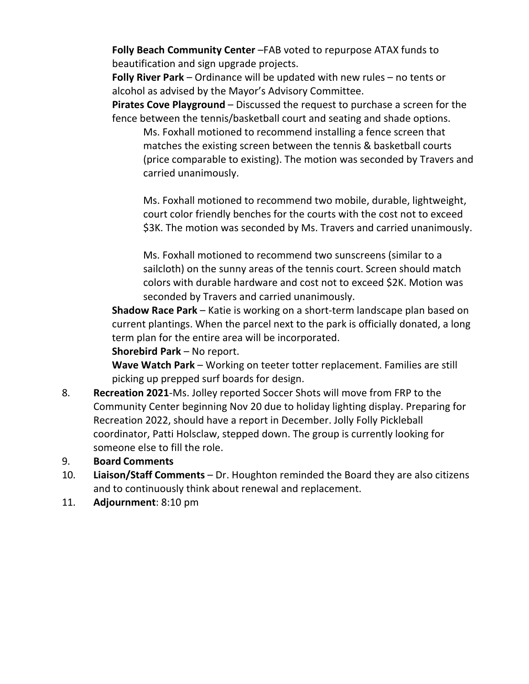**Folly Beach Community Center** –FAB voted to repurpose ATAX funds to beautification and sign upgrade projects.

**Folly River Park** – Ordinance will be updated with new rules – no tents or alcohol as advised by the Mayor's Advisory Committee.

**Pirates Cove Playground** – Discussed the request to purchase a screen for the fence between the tennis/basketball court and seating and shade options.

Ms. Foxhall motioned to recommend installing a fence screen that matches the existing screen between the tennis & basketball courts (price comparable to existing). The motion was seconded by Travers and carried unanimously.

Ms. Foxhall motioned to recommend two mobile, durable, lightweight, court color friendly benches for the courts with the cost not to exceed \$3K. The motion was seconded by Ms. Travers and carried unanimously.

Ms. Foxhall motioned to recommend two sunscreens (similar to a sailcloth) on the sunny areas of the tennis court. Screen should match colors with durable hardware and cost not to exceed \$2K. Motion was seconded by Travers and carried unanimously.

**Shadow Race Park** – Katie is working on a short-term landscape plan based on current plantings. When the parcel next to the park is officially donated, a long term plan for the entire area will be incorporated.

**Shorebird Park** – No report.

**Wave Watch Park** – Working on teeter totter replacement. Families are still picking up prepped surf boards for design.

- 8. **Recreation 2021**-Ms. Jolley reported Soccer Shots will move from FRP to the Community Center beginning Nov 20 due to holiday lighting display. Preparing for Recreation 2022, should have a report in December. Jolly Folly Pickleball coordinator, Patti Holsclaw, stepped down. The group is currently looking for someone else to fill the role.
- 9. **Board Comments**
- 10. **Liaison/Staff Comments** Dr. Houghton reminded the Board they are also citizens and to continuously think about renewal and replacement.
- 11. **Adjournment**: 8:10 pm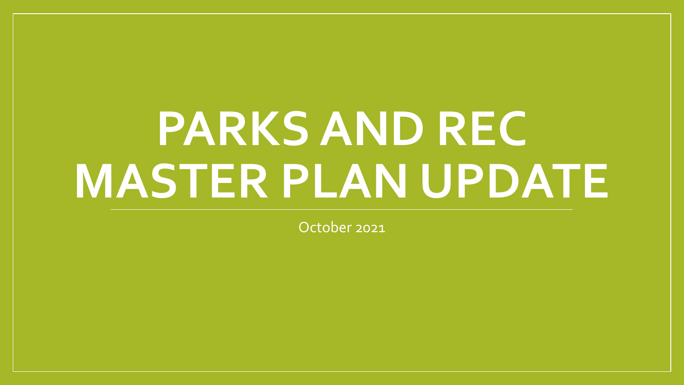# **PARKS AND REC MASTER PLAN UPDATE**

October 2021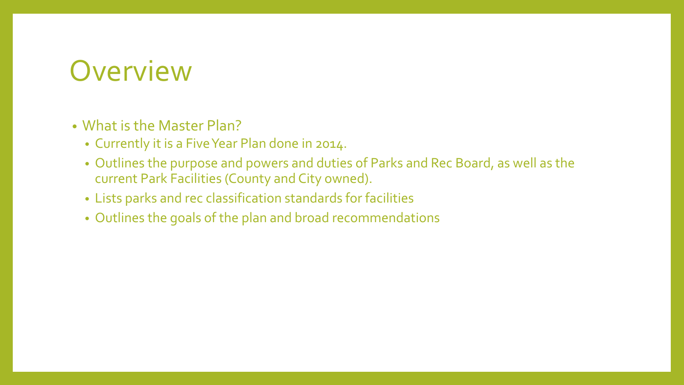### **Overview**

### • What is the Master Plan?

- Currently it is a Five Year Plan done in 2014.
- Outlines the purpose and powers and duties of Parks and Rec Board, as well as the current Park Facilities (County and City owned).
- Lists parks and rec classification standards for facilities
- Outlines the goals of the plan and broad recommendations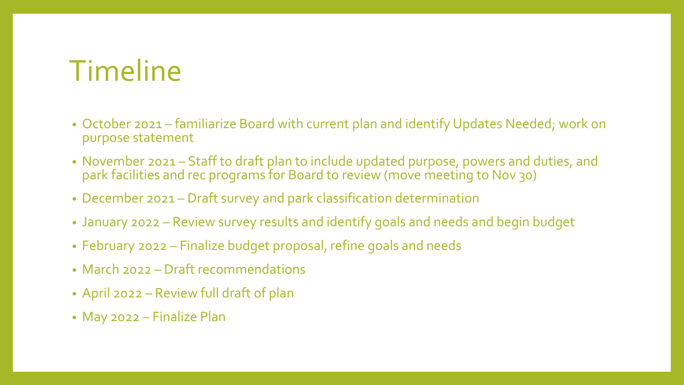# Timeline

- October 2021 familiarize Board with current plan and identify Updates Needed; work on purpose statement
- November 2021 Staff to draft plan to include updated purpose, powers and duties, and park facilities and rec programs for Board to review (move meeting to Nov 30)
- December 2021 Draft survey and park classification determination
- January 2022 Review survey results and identify goals and needs and begin budget
- February 2022 Finalize budget proposal, refine goals and needs
- March 2022 Draft recommendations
- April 2022 Review full draft of plan
- May 2022 Finalize Plan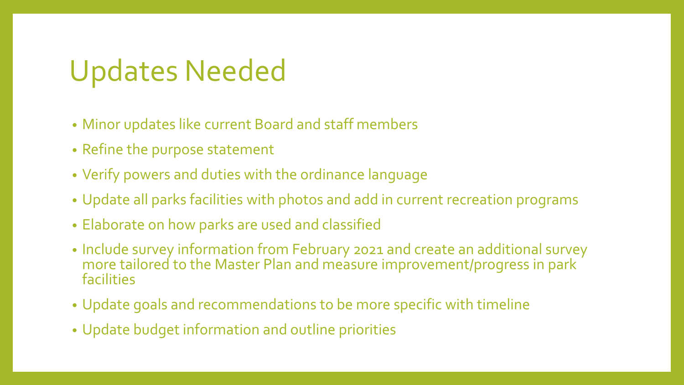## Updates Needed

- Minor updates like current Board and staff members
- Refine the purpose statement
- Verify powers and duties with the ordinance language
- Update all parks facilities with photos and add in current recreation programs
- Elaborate on how parks are used and classified
- Include survey information from February 2021 and create an additional survey more tailored to the Master Plan and measure improvement/progress in park facilities
- Update goals and recommendations to be more specific with timeline
- Update budget information and outline priorities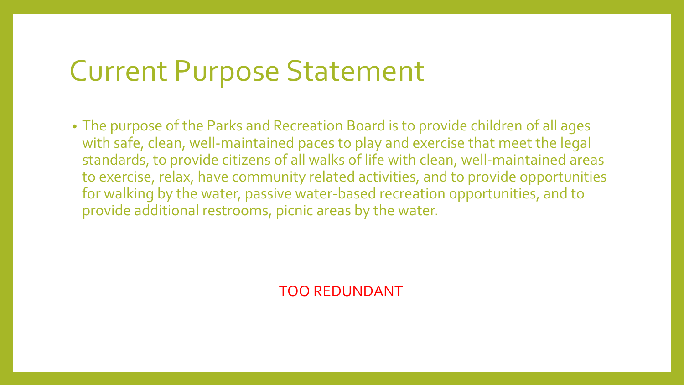### Current Purpose Statement

• The purpose of the Parks and Recreation Board is to provide children of all ages with safe, clean, well-maintained paces to play and exercise that meet the legal standards, to provide citizens of all walks of life with clean, well-maintained areas to exercise, relax, have community related activities, and to provide opportunities for walking by the water, passive water-based recreation opportunities, and to provide additional restrooms, picnic areas by the water.

TOO REDUNDANT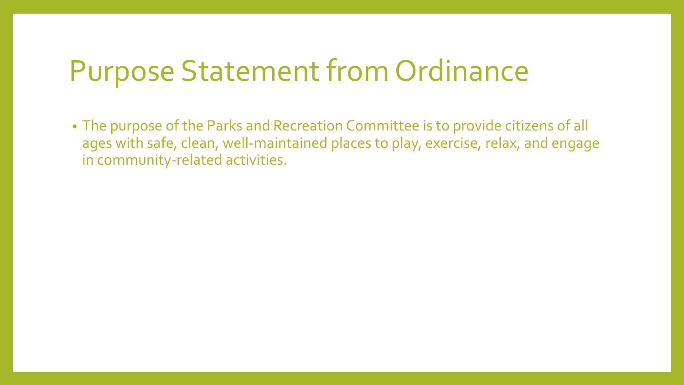### Purpose Statement from Ordinance

• The purpose of the Parks and Recreation Committee is to provide citizens of all ages with safe, clean, well-maintained places to play, exercise, relax, and engage in community-related activities.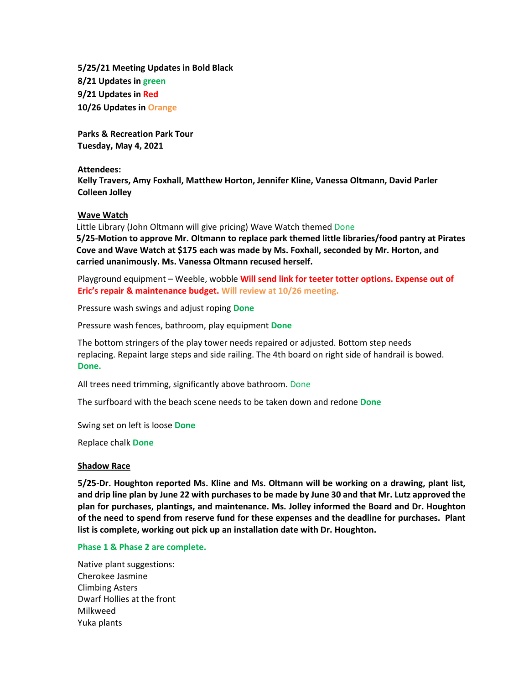**5/25/21 Meeting Updates in Bold Black 8/21 Updates in green 9/21 Updates in Red 10/26 Updates in Orange**

**Parks & Recreation Park Tour Tuesday, May 4, 2021**

#### **Attendees:**

**Kelly Travers, Amy Foxhall, Matthew Horton, Jennifer Kline, Vanessa Oltmann, David Parler Colleen Jolley**

#### **Wave Watch**

Little Library (John Oltmann will give pricing) Wave Watch themed Done **5/25-Motion to approve Mr. Oltmann to replace park themed little libraries/food pantry at Pirates Cove and Wave Watch at \$175 each was made by Ms. Foxhall, seconded by Mr. Horton, and carried unanimously. Ms. Vanessa Oltmann recused herself.**

Playground equipment – Weeble, wobble **Will send link for teeter totter options. Expense out of Eric's repair & maintenance budget. Will review at 10/26 meeting.**

Pressure wash swings and adjust roping **Done**

Pressure wash fences, bathroom, play equipment **Done**

The bottom stringers of the play tower needs repaired or adjusted. Bottom step needs replacing. Repaint large steps and side railing. The 4th board on right side of handrail is bowed. **Done.**

All trees need trimming, significantly above bathroom. Done

The surfboard with the beach scene needs to be taken down and redone **Done**

Swing set on left is loose **Done**

Replace chalk **Done**

#### **Shadow Race**

**5/25-Dr. Houghton reported Ms. Kline and Ms. Oltmann will be working on a drawing, plant list, and drip line plan by June 22 with purchases to be made by June 30 and that Mr. Lutz approved the plan for purchases, plantings, and maintenance. Ms. Jolley informed the Board and Dr. Houghton of the need to spend from reserve fund for these expenses and the deadline for purchases. Plant list is complete, working out pick up an installation date with Dr. Houghton.** 

#### **Phase 1 & Phase 2 are complete.**

Native plant suggestions: Cherokee Jasmine Climbing Asters Dwarf Hollies at the front Milkweed Yuka plants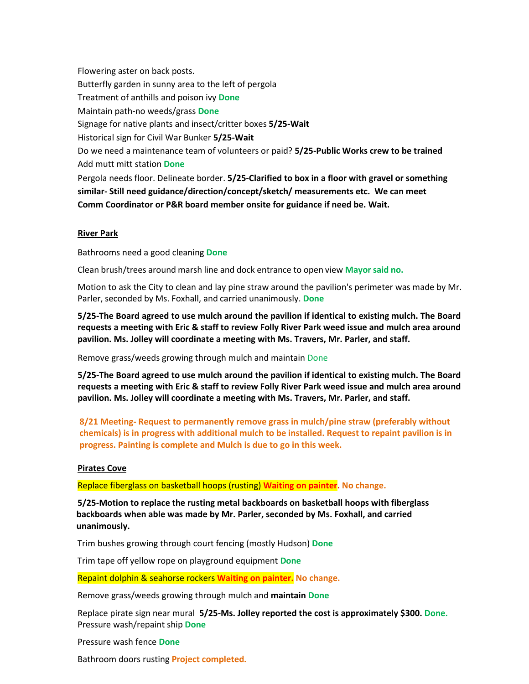Flowering aster on back posts. Butterfly garden in sunny area to the left of pergola Treatment of anthills and poison ivy **Done** Maintain path-no weeds/grass **Done** Signage for native plants and insect/critter boxes **5/25-Wait** Historical sign for Civil War Bunker **5/25-Wait** Do we need a maintenance team of volunteers or paid? **5/25-Public Works crew to be trained** Add mutt mitt station **Done** Pergola needs floor. Delineate border. **5/25-Clarified to box in a floor with gravel or something similar- Still need guidance/direction/concept/sketch/ measurements etc. We can meet Comm Coordinator or P&R board member onsite for guidance if need be. Wait.**

### **River Park**

Bathrooms need a good cleaning **Done**

Clean brush/trees around marsh line and dock entrance to open view **Mayorsaid no.**

Motion to ask the City to clean and lay pine straw around the pavilion's perimeter was made by Mr. Parler, seconded by Ms. Foxhall, and carried unanimously. **Done**

**5/25-The Board agreed to use mulch around the pavilion if identical to existing mulch. The Board requests a meeting with Eric & staff to review Folly River Park weed issue and mulch area around pavilion. Ms. Jolley will coordinate a meeting with Ms. Travers, Mr. Parler, and staff.**

Remove grass/weeds growing through mulch and maintain Done

**5/25-The Board agreed to use mulch around the pavilion if identical to existing mulch. The Board requests a meeting with Eric & staff to review Folly River Park weed issue and mulch area around pavilion. Ms. Jolley will coordinate a meeting with Ms. Travers, Mr. Parler, and staff.**

**8/21 Meeting- Request to permanently remove grass in mulch/pine straw (preferably without chemicals) is in progress with additional mulch to be installed. Request to repaint pavilion is in progress. Painting is complete and Mulch is due to go in this week.**

#### **Pirates Cove**

Replace fiberglass on basketball hoops (rusting) **Waiting on painter. No change.**

**5/25-Motion to replace the rusting metal backboards on basketball hoops with fiberglass backboards when able was made by Mr. Parler, seconded by Ms. Foxhall, and carried unanimously.**

Trim bushes growing through court fencing (mostly Hudson) **Done** 

Trim tape off yellow rope on playground equipment **Done**

Repaint dolphin & seahorse rockers **Waiting on painter. No change.**

Remove grass/weeds growing through mulch and **maintain Done**

Replace pirate sign near mural **5/25-Ms. Jolley reported the cost is approximately \$300. Done.** Pressure wash/repaint ship **Done**

Pressure wash fence **Done**

Bathroom doors rusting **Project completed.**